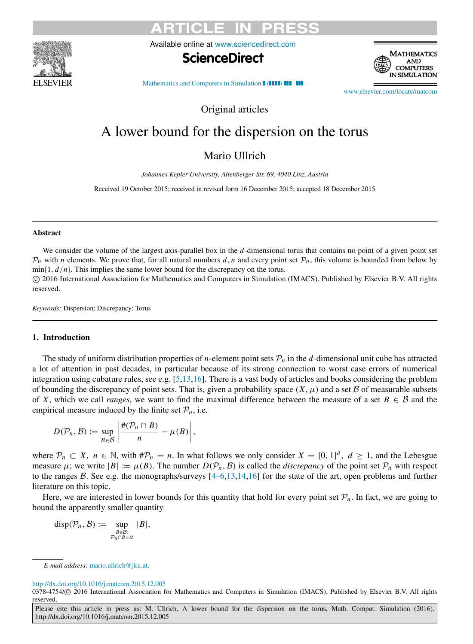

Available online at [www.sciencedirect.com](http://www.elsevier.com/locate/matcom)





[Mathematics and Computers in Simulation](http://dx.doi.org/10.1016/j.matcom.2015.12.005)  $\blacksquare$ 

[www.elsevier.com/locate/matcom](http://www.elsevier.com/locate/matcom)

Original articles

# A lower bound for the dispersion on the torus

Mario Ullrich

*Johannes Kepler University, Altenberger Str. 69, 4040 Linz, Austria*

Received 19 October 2015; received in revised form 16 December 2015; accepted 18 December 2015

### Abstract

We consider the volume of the largest axis-parallel box in the *d*-dimensional torus that contains no point of a given point set  $P_n$  with *n* elements. We prove that, for all natural numbers *d*, *n* and every point set  $P_n$ , this volume is bounded from below by  $\min\{1, d/n\}$ . This implies the same lower bound for the discrepancy on the torus.

⃝c 2016 International Association for Mathematics and Computers in Simulation (IMACS). Published by Elsevier B.V. All rights reserved.

*Keywords:* Dispersion; Discrepancy; Torus

# 1. Introduction

The study of uniform distribution properties of *n*-element point sets  $P_n$  in the *d*-dimensional unit cube has attracted a lot of attention in past decades, in particular because of its strong connection to worst case errors of numerical integration using cubature rules, see e.g. [\[5](#page-4-0)[,13](#page-4-1)[,16\]](#page-4-2). There is a vast body of articles and books considering the problem of bounding the discrepancy of point sets. That is, given a probability space  $(X, \mu)$  and a set B of measurable subsets of *X*, which we call *ranges*, we want to find the maximal difference between the measure of a set  $B \in \mathcal{B}$  and the empirical measure induced by the finite set  $P_n$ , i.e.

$$
D(\mathcal{P}_n, \mathcal{B}) \coloneqq \sup_{B \in \mathcal{B}} \left| \frac{\#(\mathcal{P}_n \cap B)}{n} - \mu(B) \right|,
$$

where  $\mathcal{P}_n \subset X$ ,  $n \in \mathbb{N}$ , with  $\#\mathcal{P}_n = n$ . In what follows we only consider  $X = [0, 1]^d$ ,  $d \ge 1$ , and the Lebesgue measure  $\mu$ ; we write  $|B| := \mu(B)$ . The number  $D(\mathcal{P}_n, \mathcal{B})$  is called the *discrepancy* of the point set  $\mathcal{P}_n$  with respect to the ranges  $\beta$ . See e.g. the monographs/surveys  $[4-6,13,14,16]$  $[4-6,13,14,16]$  $[4-6,13,14,16]$  $[4-6,13,14,16]$  for the state of the art, open problems and further literature on this topic.

Here, we are interested in lower bounds for this quantity that hold for every point set  $P_n$ . In fact, we are going to bound the apparently smaller quantity

$$
disp(\mathcal{P}_n, \mathcal{B}) := \sup_{\substack{B \in \mathcal{B}: \\ \mathcal{P}_n \cap B = \varnothing}} |B|,
$$

### <http://dx.doi.org/10.1016/j.matcom.2015.12.005>

*E-mail address:* [mario.ullrich@jku.at.](mailto:mario.ullrich@jku.at)

<sup>0378-4754/</sup>C 2016 International Association for Mathematics and Computers in Simulation (IMACS). Published by Elsevier B.V. All rights reserved.

Please cite this article in press as: M. Ullrich, A lower bound for the dispersion on the torus, Math. Comput. Simulation (2016), http://dx.doi.org/10.1016/j.matcom.2015.12.005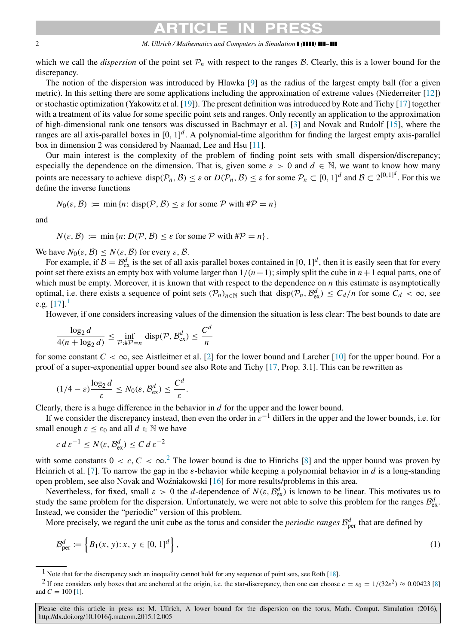### 2 *M. Ullrich / Mathematics and Computers in Simulation ( ) –*

which we call the *dispersion* of the point set  $\mathcal{P}_n$  with respect to the ranges  $\mathcal{B}$ . Clearly, this is a lower bound for the discrepancy.

The notion of the dispersion was introduced by Hlawka [\[9\]](#page-4-5) as the radius of the largest empty ball (for a given metric). In this setting there are some applications including the approximation of extreme values (Niederreiter [\[12\]](#page-4-6)) or stochastic optimization (Yakowitz et al. [\[19\]](#page-4-7)). The present definition was introduced by Rote and Tichy [\[17\]](#page-4-8) together with a treatment of its value for some specific point sets and ranges. Only recently an application to the approximation of high-dimensional rank one tensors was discussed in Bachmayr et al. [\[3\]](#page-4-9) and Novak and Rudolf [\[15\]](#page-4-10), where the ranges are all axis-parallel boxes in [0, 1]<sup>d</sup>. A polynomial-time algorithm for finding the largest empty axis-parallel box in dimension 2 was considered by Naamad, Lee and Hsu [\[11\]](#page-4-11).

Our main interest is the complexity of the problem of finding point sets with small dispersion/discrepancy; especially the dependence on the dimension. That is, given some  $\varepsilon > 0$  and  $d \in \mathbb{N}$ , we want to know how many points are necessary to achieve  $\text{disp}(\mathcal{P}_n, \mathcal{B}) \leq \varepsilon$  or  $D(\mathcal{P}_n, \mathcal{B}) \leq \varepsilon$  for some  $\mathcal{P}_n \subset [0, 1]^d$  and  $\mathcal{B} \subset 2^{[0, 1]^d}$ . For this we define the inverse functions

$$
N_0(\varepsilon, \mathcal{B}) := \min \{ n : \text{disp}(\mathcal{P}, \mathcal{B}) \le \varepsilon \text{ for some } \mathcal{P} \text{ with } \#\mathcal{P} = n \}
$$

and

 $N(\varepsilon, \mathcal{B}) := \min \{ n : D(\mathcal{P}, \mathcal{B}) \leq \varepsilon \text{ for some } \mathcal{P} \text{ with } \#\mathcal{P} = n \}.$ 

We have  $N_0(\varepsilon, \mathcal{B}) \leq N(\varepsilon, \mathcal{B})$  for every  $\varepsilon, \mathcal{B}$ .

For example, if  $B = B_{\text{ex}}^d$  is the set of all axis-parallel boxes contained in [0, 1]<sup>d</sup>, then it is easily seen that for every point set there exists an empty box with volume larger than  $1/(n+1)$ ; simply split the cube in  $n+1$  equal parts, one of which must be empty. Moreover, it is known that with respect to the dependence on *n* this estimate is asymptotically optimal, i.e. there exists a sequence of point sets  $(\mathcal{P}_n)_{n \in \mathbb{N}}$  such that  $\text{disp}(\mathcal{P}_n, \mathcal{B}_{\text{ex}}^d) \leq C_d/n$  for some  $C_d < \infty$ , see e.g.  $[17]$ .<sup>[1](#page-1-0)</sup>

However, if one considers increasing values of the dimension the situation is less clear: The best bounds to date are

$$
\frac{\log_2 d}{4(n + \log_2 d)} \le \inf_{\mathcal{P}: \#\mathcal{P}=n} \text{disp}(\mathcal{P}, \mathcal{B}_{\text{ex}}^d) \le \frac{C^d}{n}
$$

for some constant  $C < \infty$ , see Aistleitner et al. [\[2\]](#page-4-12) for the lower bound and Larcher [\[10\]](#page-4-13) for the upper bound. For a proof of a super-exponential upper bound see also Rote and Tichy [\[17,](#page-4-8) Prop. 3.1]. This can be rewritten as

$$
(1/4 - \varepsilon) \frac{\log_2 d}{\varepsilon} \le N_0(\varepsilon, \mathcal{B}_{\rm ex}^d) \le \frac{C^d}{\varepsilon}.
$$

Clearly, there is a huge difference in the behavior in *d* for the upper and the lower bound.

If we consider the discrepancy instead, then even the order in  $\varepsilon^{-1}$  differs in the upper and the lower bounds, i.e. for small enough  $\varepsilon \leq \varepsilon_0$  and all  $d \in \mathbb{N}$  we have

$$
c d \varepsilon^{-1} \le N(\varepsilon, \mathcal{B}_{\text{ex}}^d) \le C d \varepsilon^{-2}
$$

with some constants  $0 < c, C < \infty$ .<sup>[2](#page-1-1)</sup> The lower bound is due to Hinrichs [\[8\]](#page-4-14) and the upper bound was proven by Heinrich et al. [\[7\]](#page-4-15). To narrow the gap in the  $\varepsilon$ -behavior while keeping a polynomial behavior in *d* is a long-standing open problem, see also Novak and Woźniakowski [[16\]](#page-4-2) for more results/problems in this area.

Nevertheless, for fixed, small  $\varepsilon > 0$  the *d*-dependence of  $N(\varepsilon, \mathcal{B}_{\text{ex}}^d)$  is known to be linear. This motivates us to study the same problem for the dispersion. Unfortunately, we were not able to solve this problem for the ranges  $\mathcal{B}_{ex}^d$ . Instead, we consider the "periodic" version of this problem.

More precisely, we regard the unit cube as the torus and consider the *periodic ranges*  $\mathcal{B}^d_{\text{per}}$  that are defined by

$$
\mathcal{B}_{\text{per}}^d := \left\{ B_1(x, y) : x, y \in [0, 1]^d \right\},\tag{1}
$$

<span id="page-1-1"></span><span id="page-1-0"></span><sup>&</sup>lt;sup>1</sup> Note that for the discrepancy such an inequality cannot hold for any sequence of point sets, see Roth [\[18\]](#page-4-16).

<sup>&</sup>lt;sup>2</sup> If one considers only boxes that are anchored at the origin, i.e. the star-discrepancy, then one can choose  $c = \varepsilon_0 = 1/(32e^2) \approx 0.00423$  [\[8\]](#page-4-14) and  $C = 100$  [\[1\]](#page-4-17).

Please cite this article in press as: M. Ullrich, A lower bound for the dispersion on the torus, Math. Comput. Simulation (2016), http://dx.doi.org/10.1016/j.matcom.2015.12.005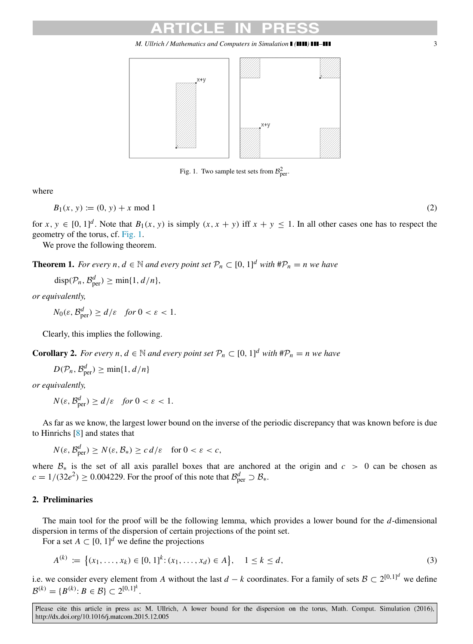*M. Ullrich / Mathematics and Computers in Simulation ( ) –* 3

<span id="page-2-0"></span>

Fig. 1. Two sample test sets from  $\mathcal{B}^2_{\text{per}}$ .

where

$$
B_1(x, y) := (0, y) + x \bmod 1
$$
 (2)

for  $x, y \in [0, 1]^d$ . Note that  $B_1(x, y)$  is simply  $(x, x + y)$  iff  $x + y \le 1$ . In all other cases one has to respect the geometry of the torus, cf. [Fig. 1.](#page-2-0)

We prove the following theorem.

**Theorem 1.** *For every n, d*  $\in \mathbb{N}$  *and every point set*  $\mathcal{P}_n \subset [0, 1]^d$  *with*  $\sharp \mathcal{P}_n = n$  *we have* 

<span id="page-2-1"></span>
$$
disp(\mathcal{P}_n, \mathcal{B}_{per}^d) \geq min\{1, d/n\},\
$$

*or equivalently,*

$$
N_0(\varepsilon, \mathcal{B}_{\text{per}}^d) \ge d/\varepsilon \quad \text{for } 0 < \varepsilon < 1.
$$

Clearly, this implies the following.

**Corollary 2.** *For every n, d*  $\in \mathbb{N}$  *and every point set*  $\mathcal{P}_n \subset [0, 1]^d$  *with*  $\#\mathcal{P}_n = n$  *we have* 

$$
D(\mathcal{P}_n, \mathcal{B}_{\text{per}}^d) \ge \min\{1, d/n\}
$$

*or equivalently,*

$$
N(\varepsilon, \mathcal{B}_{\text{per}}^d) \ge d/\varepsilon \quad \text{for } 0 < \varepsilon < 1.
$$

As far as we know, the largest lower bound on the inverse of the periodic discrepancy that was known before is due to Hinrichs [\[8\]](#page-4-14) and states that

$$
N(\varepsilon, \mathcal{B}_{\text{per}}^d) \ge N(\varepsilon, \mathcal{B}_*) \ge c \, d/\varepsilon \quad \text{for } 0 < \varepsilon < c,
$$

where B∗ is the set of all axis parallel boxes that are anchored at the origin and *c* > 0 can be chosen as  $c = 1/(32e^2) \ge 0.004229$ . For the proof of this note that  $\mathcal{B}^d_{\text{per}} \supset \mathcal{B}_*$ .

# 2. Preliminaries

The main tool for the proof will be the following lemma, which provides a lower bound for the *d*-dimensional dispersion in terms of the dispersion of certain projections of the point set.

For a set  $A \subset [0, 1]^d$  we define the projections

$$
A^{(k)} := \{(x_1, \ldots, x_k) \in [0, 1]^k : (x_1, \ldots, x_d) \in A\}, \quad 1 \le k \le d,
$$
\n<sup>(3)</sup>

i.e. we consider every element from *A* without the last  $d - k$  coordinates. For a family of sets  $\mathcal{B} \subset 2^{[0,1]^d}$  we define  $\mathcal{B}^{(k)} = \{B^{(k)} : B \in \mathcal{B}\} \subset 2^{[0,1]^k}.$ 

Please cite this article in press as: M. Ullrich, A lower bound for the dispersion on the torus, Math. Comput. Simulation (2016), http://dx.doi.org/10.1016/j.matcom.2015.12.005

<span id="page-2-2"></span>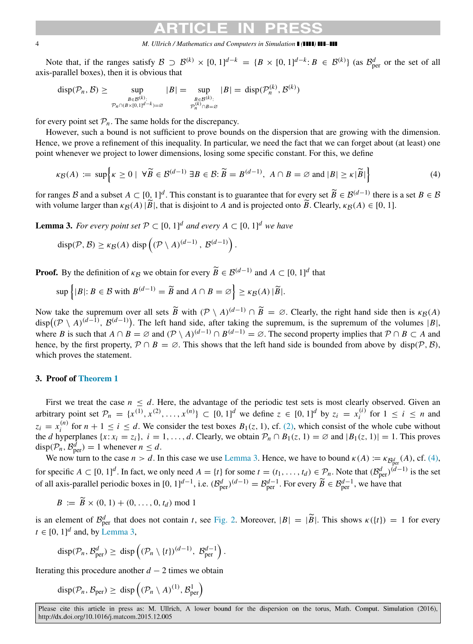4 *M. Ullrich / Mathematics and Computers in Simulation ( ) –*

Note that, if the ranges satisfy  $\mathcal{B} \supset \mathcal{B}^{(k)} \times [0, 1]^{d-k} = \{B \times [0, 1]^{d-k} : B \in \mathcal{B}^{(k)}\}$  (as  $\mathcal{B}_{\text{per}}^d$  or the set of all axis-parallel boxes), then it is obvious that

$$
\mathrm{disp}(\mathcal{P}_n, \mathcal{B}) \ge \sup_{\substack{B \in \mathcal{B}^{(k)}:\\ \mathcal{P}_n \cap (B \times [0, 1]^{d-k}) = \varnothing}} |B| = \sup_{\substack{B \in \mathcal{B}^{(k)}:\\ \mathcal{P}_n^{(k)} \cap B = \varnothing}} |B| = \mathrm{disp}(\mathcal{P}_n^{(k)}, \mathcal{B}^{(k)})
$$

for every point set  $P_n$ . The same holds for the discrepancy.

However, such a bound is not sufficient to prove bounds on the dispersion that are growing with the dimension. Hence, we prove a refinement of this inequality. In particular, we need the fact that we can forget about (at least) one point whenever we project to lower dimensions, losing some specific constant. For this, we define

<span id="page-3-1"></span>
$$
\kappa(\mathcal{B}) := \sup \Big\{ \kappa \ge 0 \mid \forall \widetilde{\mathcal{B}} \in \mathcal{B}^{(d-1)} \exists \mathcal{B} \in \mathcal{B} : \widetilde{\mathcal{B}} = \mathcal{B}^{(d-1)}, \ \mathcal{A} \cap \mathcal{B} = \varnothing \text{ and } |\mathcal{B}| \ge \kappa |\widetilde{\mathcal{B}}| \Big\} \tag{4}
$$

for ranges B and a subset  $A \subset [0, 1]^d$ . This constant is to guarantee that for every set  $\widetilde{B} \in \mathcal{B}^{(d-1)}$  there is a set  $B \in \mathcal{B}$ with volume larger than  $\kappa_{\mathcal{B}}(A)$  | $\widetilde{B}$ |, that is disjoint to *A* and is projected onto  $\widetilde{B}$ . Clearly,  $\kappa_{\mathcal{B}}(A) \in [0, 1]$ .

**Lemma 3.** For every point set  $P \subset [0, 1]^d$  and every  $A \subset [0, 1]^d$  we have

<span id="page-3-0"></span>
$$
\mathrm{disp}(\mathcal{P}, \mathcal{B}) \geq \kappa_{\mathcal{B}}(A) \mathrm{ disp}\left((\mathcal{P} \setminus A)^{(d-1)}, \mathcal{B}^{(d-1)}\right).
$$

**Proof.** By the definition of  $\kappa_B$  we obtain for every  $\widetilde{B} \in \mathcal{B}^{(d-1)}$  and  $A \subset [0, 1]^d$  that

$$
\sup\left\{|B|: B \in \mathcal{B} \text{ with } B^{(d-1)} = \widetilde{B} \text{ and } A \cap B = \varnothing\right\} \ge \kappa_{\mathcal{B}}(A) |\widetilde{B}|.
$$

Now take the supremum over all sets  $\widetilde{B}$  with  $(\mathcal{P} \setminus A)^{(d-1)} \cap \widetilde{B} = \emptyset$ . Clearly, the right hand side then is  $\kappa_{\mathcal{B}}(A)$ disp $((P \setminus A)^{(d-1)}, \mathcal{B}^{(d-1)})$ . The left hand side, after taking the supremum, is the supremum of the volumes |*B*|, where *B* is such that  $A \cap B = \emptyset$  and  $(\mathcal{P} \setminus A)^{(d-1)} \cap B^{(d-1)} = \emptyset$ . The second property implies that  $\mathcal{P} \cap B \subset A$  and hence, by the first property,  $P \cap B = \emptyset$ . This shows that the left hand side is bounded from above by disp( $P, B$ ), which proves the statement.

# 3. Proof of [Theorem 1](#page-2-1)

First we treat the case  $n \leq d$ . Here, the advantage of the periodic test sets is most clearly observed. Given an arbitrary point set  $\mathcal{P}_n = \{x^{(1)}, x^{(2)}, \dots, x^{(n)}\} \subset [0, 1]^d$  we define  $z \in [0, 1]^d$  by  $z_i = x_i^{(i)}$  $i^{(i)}$  for  $1 \leq i \leq n$  and  $z_i = x_i^{(n)}$  $i^{(n)}$  for  $n + 1 \le i \le d$ . We consider the test boxes  $B_1(z, 1)$ , cf. [\(2\),](#page-2-2) which consist of the whole cube without the *d* hyperplanes  $\{x : x_i = z_i\}$ ,  $i = 1, ..., d$ . Clearly, we obtain  $\mathcal{P}_n \cap B_1(z, 1) = \emptyset$  and  $|B_1(z, 1)| = 1$ . This proves  $\text{disp}(\mathcal{P}_n, \mathcal{B}_{\text{per}}^d) = 1$  whenever  $n \leq d$ .

We now turn to the case  $n > d$ . In this case we use [Lemma 3.](#page-3-0) Hence, we have to bound  $\kappa(A) := \kappa_{\mathcal{B}_{per}^d}(A)$ , cf. [\(4\),](#page-3-1) for specific  $A \subset [0, 1]^d$ . In fact, we only need  $A = \{t\}$  for some  $t = (t_1, \ldots, t_d) \in \mathcal{P}_n$ . Note that  $(\mathcal{B}_{\text{per}}^d)^{(d-1)}$  is the set of all axis-parallel periodic boxes in  $[0, 1]^{d-1}$ , i.e.  $(\mathcal{B}_{\text{per}}^d)^{(d-1)} = \mathcal{B}_{\text{per}}^{d-1}$ . For every  $\widetilde{B} \in \mathcal{B}_{\text{per}}^{d-1}$ , we have that

 $B := \widetilde{B} \times (0, 1) + (0, \ldots, 0, t_d) \text{ mod } 1$ 

is an element of  $\mathcal{B}_{\text{per}}^d$  that does not contain *t*, see [Fig. 2.](#page-4-18) Moreover,  $|B| = |\widetilde{B}|$ . This shows  $\kappa({t}) = 1$  for every  $t \in [0, 1]^d$  and, by [Lemma 3,](#page-3-0)

$$
\mathrm{disp}(\mathcal{P}_n, \mathcal{B}_{\mathrm{per}}^d) \geq \mathrm{disp}\left((\mathcal{P}_n \setminus \{t\})^{(d-1)}, \mathcal{B}_{\mathrm{per}}^{d-1}\right).
$$

Iterating this procedure another  $d - 2$  times we obtain

 $\text{disp}(\mathcal{P}_n, \mathcal{B}_{\text{per}}) \geq \text{ disp}\left((\mathcal{P}_n \setminus A)^{(1)}, \mathcal{B}_{\text{per}}^1\right)$ 

Please cite this article in press as: M. Ullrich, A lower bound for the dispersion on the torus, Math. Comput. Simulation (2016), http://dx.doi.org/10.1016/j.matcom.2015.12.005